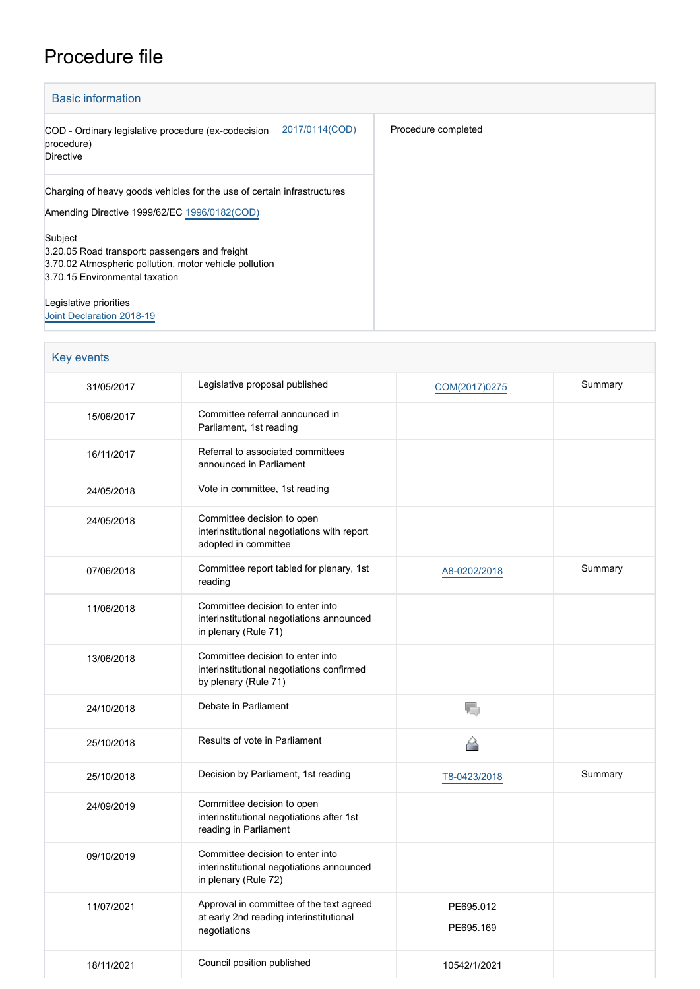## Procedure file

| <b>Basic information</b>                                                                                                                              |                     |
|-------------------------------------------------------------------------------------------------------------------------------------------------------|---------------------|
| 2017/0114(COD)<br>COD - Ordinary legislative procedure (ex-codecision<br>procedure)<br><b>Directive</b>                                               | Procedure completed |
| Charging of heavy goods vehicles for the use of certain infrastructures<br>Amending Directive 1999/62/EC 1996/0182(COD)                               |                     |
| Subject<br>3.20.05 Road transport: passengers and freight<br>3.70.02 Atmospheric pollution, motor vehicle pollution<br>3.70.15 Environmental taxation |                     |
| Legislative priorities<br>Joint Declaration 2018-19                                                                                                   |                     |

| Key events |                                                                                                       |                        |         |
|------------|-------------------------------------------------------------------------------------------------------|------------------------|---------|
| 31/05/2017 | Legislative proposal published                                                                        | COM(2017)0275          | Summary |
| 15/06/2017 | Committee referral announced in<br>Parliament, 1st reading                                            |                        |         |
| 16/11/2017 | Referral to associated committees<br>announced in Parliament                                          |                        |         |
| 24/05/2018 | Vote in committee, 1st reading                                                                        |                        |         |
| 24/05/2018 | Committee decision to open<br>interinstitutional negotiations with report<br>adopted in committee     |                        |         |
| 07/06/2018 | Committee report tabled for plenary, 1st<br>reading                                                   | A8-0202/2018           | Summary |
| 11/06/2018 | Committee decision to enter into<br>interinstitutional negotiations announced<br>in plenary (Rule 71) |                        |         |
| 13/06/2018 | Committee decision to enter into<br>interinstitutional negotiations confirmed<br>by plenary (Rule 71) |                        |         |
| 24/10/2018 | Debate in Parliament                                                                                  | ۱.                     |         |
| 25/10/2018 | Results of vote in Parliament                                                                         | 6                      |         |
| 25/10/2018 | Decision by Parliament, 1st reading                                                                   | T8-0423/2018           | Summary |
| 24/09/2019 | Committee decision to open<br>interinstitutional negotiations after 1st<br>reading in Parliament      |                        |         |
| 09/10/2019 | Committee decision to enter into<br>interinstitutional negotiations announced<br>in plenary (Rule 72) |                        |         |
| 11/07/2021 | Approval in committee of the text agreed<br>at early 2nd reading interinstitutional<br>negotiations   | PE695.012<br>PE695.169 |         |
| 18/11/2021 | Council position published                                                                            | 10542/1/2021           |         |